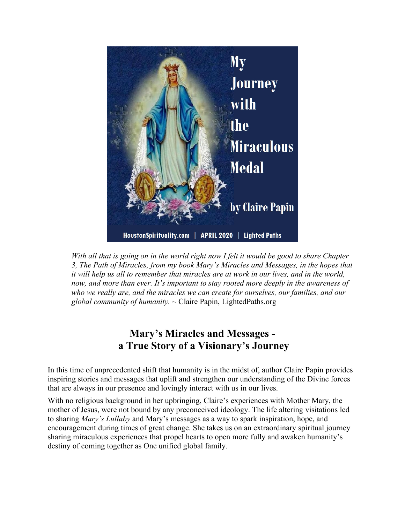

*With all that is going on in the world right now I felt it would be good to share Chapter 3, The Path of Miracles, from my book Mary's Miracles and Messages, in the hopes that it will help us all to remember that miracles are at work in our lives, and in the world, now, and more than ever. It's important to stay rooted more deeply in the awareness of who we really are, and the miracles we can create for ourselves, our families, and our global community of humanity.* ~ Claire Papin, LightedPaths.org

## **Mary's Miracles and Messages a True Story of a Visionary's Journey**

In this time of unprecedented shift that humanity is in the midst of, author Claire Papin provides inspiring stories and messages that uplift and strengthen our understanding of the Divine forces that are always in our presence and lovingly interact with us in our lives.

With no religious background in her upbringing, Claire's experiences with Mother Mary, the mother of Jesus, were not bound by any preconceived ideology. The life altering visitations led to sharing *Mary's Lullaby* and Mary's messages as a way to spark inspiration, hope, and encouragement during times of great change. She takes us on an extraordinary spiritual journey sharing miraculous experiences that propel hearts to open more fully and awaken humanity's destiny of coming together as One unified global family.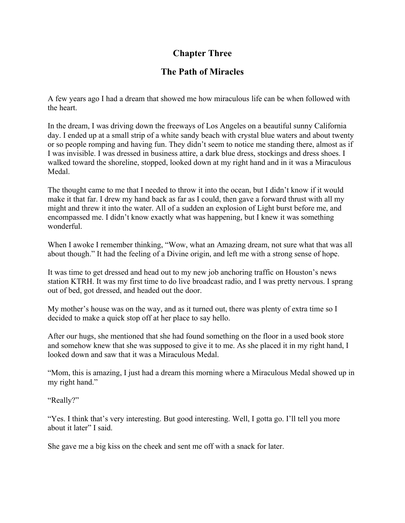## **Chapter Three**

## **The Path of Miracles**

A few years ago I had a dream that showed me how miraculous life can be when followed with the heart.

In the dream, I was driving down the freeways of Los Angeles on a beautiful sunny California day. I ended up at a small strip of a white sandy beach with crystal blue waters and about twenty or so people romping and having fun. They didn't seem to notice me standing there, almost as if I was invisible. I was dressed in business attire, a dark blue dress, stockings and dress shoes. I walked toward the shoreline, stopped, looked down at my right hand and in it was a Miraculous Medal.

The thought came to me that I needed to throw it into the ocean, but I didn't know if it would make it that far. I drew my hand back as far as I could, then gave a forward thrust with all my might and threw it into the water. All of a sudden an explosion of Light burst before me, and encompassed me. I didn't know exactly what was happening, but I knew it was something wonderful.

When I awoke I remember thinking, "Wow, what an Amazing dream, not sure what that was all about though." It had the feeling of a Divine origin, and left me with a strong sense of hope.

It was time to get dressed and head out to my new job anchoring traffic on Houston's news station KTRH. It was my first time to do live broadcast radio, and I was pretty nervous. I sprang out of bed, got dressed, and headed out the door.

My mother's house was on the way, and as it turned out, there was plenty of extra time so I decided to make a quick stop off at her place to say hello.

After our hugs, she mentioned that she had found something on the floor in a used book store and somehow knew that she was supposed to give it to me. As she placed it in my right hand, I looked down and saw that it was a Miraculous Medal.

"Mom, this is amazing, I just had a dream this morning where a Miraculous Medal showed up in my right hand."

"Really?"

"Yes. I think that's very interesting. But good interesting. Well, I gotta go. I'll tell you more about it later" I said.

She gave me a big kiss on the cheek and sent me off with a snack for later.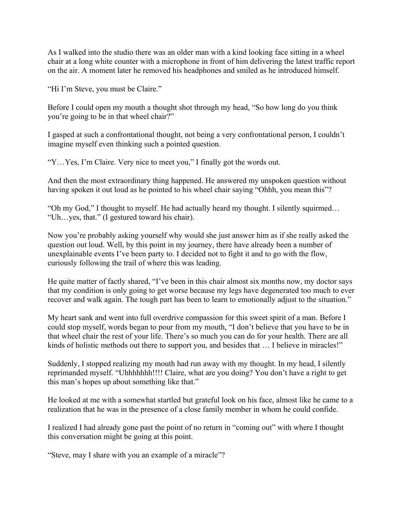As I walked into the studio there was an older man with a kind looking face sitting in a wheel chair at a long white counter with a microphone in front of him delivering the latest traffic report on the air. A moment later he removed his headphones and smiled as he introduced himself.

"Hi I'm Steve, you must be Claire."

Before I could open my mouth a thought shot through my head, "So how long do you think you're going to be in that wheel chair?"

I gasped at such a confrontational thought, not being a very confrontational person, I couldn't imagine myself even thinking such a pointed question.

"Y…Yes, I'm Claire. Very nice to meet you," I finally got the words out.

And then the most extraordinary thing happened. He answered my unspoken question without having spoken it out loud as he pointed to his wheel chair saying "Ohhh, you mean this"?

"Oh my God," I thought to myself. He had actually heard my thought. I silently squirmed… "Uh…yes, that." (I gestured toward his chair).

Now you're probably asking yourself why would she just answer him as if she really asked the question out loud. Well, by this point in my journey, there have already been a number of unexplainable events I've been party to. I decided not to fight it and to go with the flow, curiously following the trail of where this was leading.

He quite matter of factly shared, "I've been in this chair almost six months now, my doctor says that my condition is only going to get worse because my legs have degenerated too much to ever recover and walk again. The tough part has been to learn to emotionally adjust to the situation."

My heart sank and went into full overdrive compassion for this sweet spirit of a man. Before I could stop myself, words began to pour from my mouth, "I don't believe that you have to be in that wheel chair the rest of your life. There's so much you can do for your health. There are all kinds of holistic methods out there to support you, and besides that ... I believe in miracles!"

Suddenly, I stopped realizing my mouth had run away with my thought. In my head, I silently reprimanded myself. "Uhhhhhhh!!!! Claire, what are you doing? You don't have a right to get this man's hopes up about something like that."

He looked at me with a somewhat startled but grateful look on his face, almost like he came to a realization that he was in the presence of a close family member in whom he could confide.

I realized I had already gone past the point of no return in "coming out" with where I thought this conversation might be going at this point.

"Steve, may I share with you an example of a miracle"?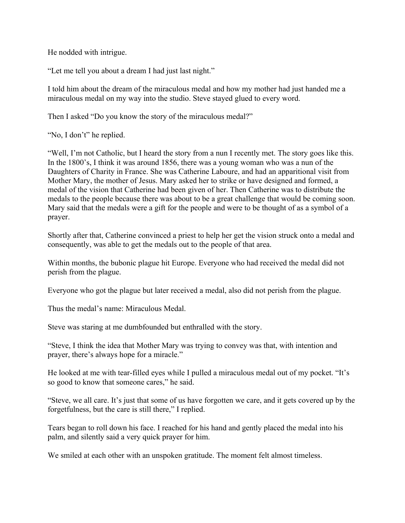He nodded with intrigue.

"Let me tell you about a dream I had just last night."

I told him about the dream of the miraculous medal and how my mother had just handed me a miraculous medal on my way into the studio. Steve stayed glued to every word.

Then I asked "Do you know the story of the miraculous medal?"

"No, I don't" he replied.

"Well, I'm not Catholic, but I heard the story from a nun I recently met. The story goes like this. In the 1800's, I think it was around 1856, there was a young woman who was a nun of the Daughters of Charity in France. She was Catherine Laboure, and had an apparitional visit from Mother Mary, the mother of Jesus. Mary asked her to strike or have designed and formed, a medal of the vision that Catherine had been given of her. Then Catherine was to distribute the medals to the people because there was about to be a great challenge that would be coming soon. Mary said that the medals were a gift for the people and were to be thought of as a symbol of a prayer.

Shortly after that, Catherine convinced a priest to help her get the vision struck onto a medal and consequently, was able to get the medals out to the people of that area.

Within months, the bubonic plague hit Europe. Everyone who had received the medal did not perish from the plague.

Everyone who got the plague but later received a medal, also did not perish from the plague.

Thus the medal's name: Miraculous Medal.

Steve was staring at me dumbfounded but enthralled with the story.

"Steve, I think the idea that Mother Mary was trying to convey was that, with intention and prayer, there's always hope for a miracle."

He looked at me with tear-filled eyes while I pulled a miraculous medal out of my pocket. "It's so good to know that someone cares," he said.

"Steve, we all care. It's just that some of us have forgotten we care, and it gets covered up by the forgetfulness, but the care is still there," I replied.

Tears began to roll down his face. I reached for his hand and gently placed the medal into his palm, and silently said a very quick prayer for him.

We smiled at each other with an unspoken gratitude. The moment felt almost timeless.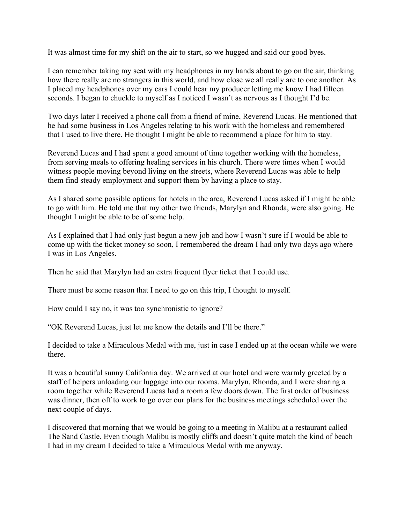It was almost time for my shift on the air to start, so we hugged and said our good byes.

I can remember taking my seat with my headphones in my hands about to go on the air, thinking how there really are no strangers in this world, and how close we all really are to one another. As I placed my headphones over my ears I could hear my producer letting me know I had fifteen seconds. I began to chuckle to myself as I noticed I wasn't as nervous as I thought I'd be.

Two days later I received a phone call from a friend of mine, Reverend Lucas. He mentioned that he had some business in Los Angeles relating to his work with the homeless and remembered that I used to live there. He thought I might be able to recommend a place for him to stay.

Reverend Lucas and I had spent a good amount of time together working with the homeless, from serving meals to offering healing services in his church. There were times when I would witness people moving beyond living on the streets, where Reverend Lucas was able to help them find steady employment and support them by having a place to stay.

As I shared some possible options for hotels in the area, Reverend Lucas asked if I might be able to go with him. He told me that my other two friends, Marylyn and Rhonda, were also going. He thought I might be able to be of some help.

As I explained that I had only just begun a new job and how I wasn't sure if I would be able to come up with the ticket money so soon, I remembered the dream I had only two days ago where I was in Los Angeles.

Then he said that Marylyn had an extra frequent flyer ticket that I could use.

There must be some reason that I need to go on this trip, I thought to myself.

How could I say no, it was too synchronistic to ignore?

"OK Reverend Lucas, just let me know the details and I'll be there."

I decided to take a Miraculous Medal with me, just in case I ended up at the ocean while we were there.

It was a beautiful sunny California day. We arrived at our hotel and were warmly greeted by a staff of helpers unloading our luggage into our rooms. Marylyn, Rhonda, and I were sharing a room together while Reverend Lucas had a room a few doors down. The first order of business was dinner, then off to work to go over our plans for the business meetings scheduled over the next couple of days.

I discovered that morning that we would be going to a meeting in Malibu at a restaurant called The Sand Castle. Even though Malibu is mostly cliffs and doesn't quite match the kind of beach I had in my dream I decided to take a Miraculous Medal with me anyway.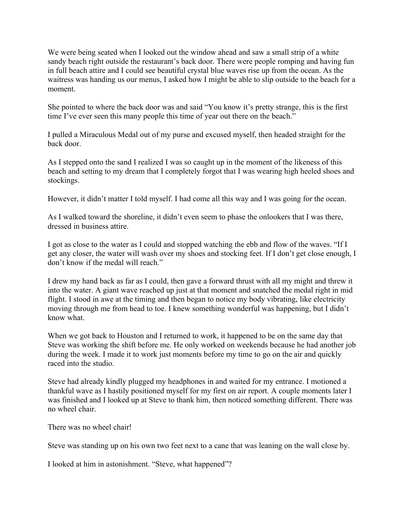We were being seated when I looked out the window ahead and saw a small strip of a white sandy beach right outside the restaurant's back door. There were people romping and having fun in full beach attire and I could see beautiful crystal blue waves rise up from the ocean. As the waitress was handing us our menus, I asked how I might be able to slip outside to the beach for a moment.

She pointed to where the back door was and said "You know it's pretty strange, this is the first time I've ever seen this many people this time of year out there on the beach."

I pulled a Miraculous Medal out of my purse and excused myself, then headed straight for the back door.

As I stepped onto the sand I realized I was so caught up in the moment of the likeness of this beach and setting to my dream that I completely forgot that I was wearing high heeled shoes and stockings.

However, it didn't matter I told myself. I had come all this way and I was going for the ocean.

As I walked toward the shoreline, it didn't even seem to phase the onlookers that I was there, dressed in business attire.

I got as close to the water as I could and stopped watching the ebb and flow of the waves. "If I get any closer, the water will wash over my shoes and stocking feet. If I don't get close enough, I don't know if the medal will reach."

I drew my hand back as far as I could, then gave a forward thrust with all my might and threw it into the water. A giant wave reached up just at that moment and snatched the medal right in mid flight. I stood in awe at the timing and then began to notice my body vibrating, like electricity moving through me from head to toe. I knew something wonderful was happening, but I didn't know what.

When we got back to Houston and I returned to work, it happened to be on the same day that Steve was working the shift before me. He only worked on weekends because he had another job during the week. I made it to work just moments before my time to go on the air and quickly raced into the studio.

Steve had already kindly plugged my headphones in and waited for my entrance. I motioned a thankful wave as I hastily positioned myself for my first on air report. A couple moments later I was finished and I looked up at Steve to thank him, then noticed something different. There was no wheel chair.

There was no wheel chair!

Steve was standing up on his own two feet next to a cane that was leaning on the wall close by.

I looked at him in astonishment. "Steve, what happened"?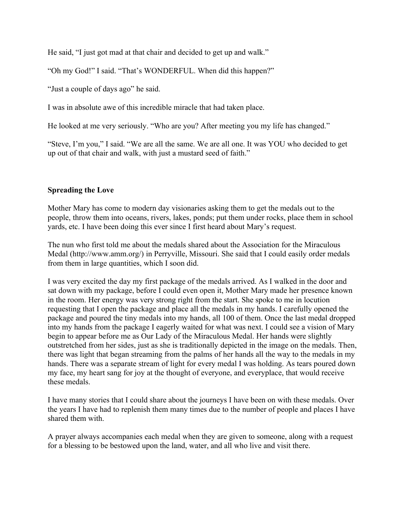He said, "I just got mad at that chair and decided to get up and walk."

"Oh my God!" I said. "That's WONDERFUL. When did this happen?"

"Just a couple of days ago" he said.

I was in absolute awe of this incredible miracle that had taken place.

He looked at me very seriously. "Who are you? After meeting you my life has changed."

"Steve, I'm you," I said. "We are all the same. We are all one. It was YOU who decided to get up out of that chair and walk, with just a mustard seed of faith."

## **Spreading the Love**

Mother Mary has come to modern day visionaries asking them to get the medals out to the people, throw them into oceans, rivers, lakes, ponds; put them under rocks, place them in school yards, etc. I have been doing this ever since I first heard about Mary's request.

The nun who first told me about the medals shared about the Association for the Miraculous Medal (http://www.amm.org/) in Perryville, Missouri. She said that I could easily order medals from them in large quantities, which I soon did.

I was very excited the day my first package of the medals arrived. As I walked in the door and sat down with my package, before I could even open it, Mother Mary made her presence known in the room. Her energy was very strong right from the start. She spoke to me in locution requesting that I open the package and place all the medals in my hands. I carefully opened the package and poured the tiny medals into my hands, all 100 of them. Once the last medal dropped into my hands from the package I eagerly waited for what was next. I could see a vision of Mary begin to appear before me as Our Lady of the Miraculous Medal. Her hands were slightly outstretched from her sides, just as she is traditionally depicted in the image on the medals. Then, there was light that began streaming from the palms of her hands all the way to the medals in my hands. There was a separate stream of light for every medal I was holding. As tears poured down my face, my heart sang for joy at the thought of everyone, and everyplace, that would receive these medals.

I have many stories that I could share about the journeys I have been on with these medals. Over the years I have had to replenish them many times due to the number of people and places I have shared them with.

A prayer always accompanies each medal when they are given to someone, along with a request for a blessing to be bestowed upon the land, water, and all who live and visit there.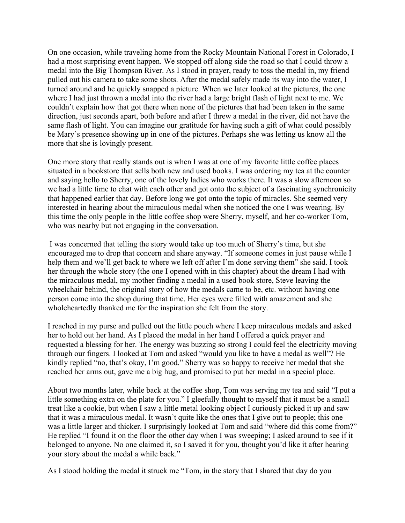On one occasion, while traveling home from the Rocky Mountain National Forest in Colorado, I had a most surprising event happen. We stopped off along side the road so that I could throw a medal into the Big Thompson River. As I stood in prayer, ready to toss the medal in, my friend pulled out his camera to take some shots. After the medal safely made its way into the water, I turned around and he quickly snapped a picture. When we later looked at the pictures, the one where I had just thrown a medal into the river had a large bright flash of light next to me. We couldn't explain how that got there when none of the pictures that had been taken in the same direction, just seconds apart, both before and after I threw a medal in the river, did not have the same flash of light. You can imagine our gratitude for having such a gift of what could possibly be Mary's presence showing up in one of the pictures. Perhaps she was letting us know all the more that she is lovingly present.

One more story that really stands out is when I was at one of my favorite little coffee places situated in a bookstore that sells both new and used books. I was ordering my tea at the counter and saying hello to Sherry, one of the lovely ladies who works there. It was a slow afternoon so we had a little time to chat with each other and got onto the subject of a fascinating synchronicity that happened earlier that day. Before long we got onto the topic of miracles. She seemed very interested in hearing about the miraculous medal when she noticed the one I was wearing. By this time the only people in the little coffee shop were Sherry, myself, and her co-worker Tom, who was nearby but not engaging in the conversation.

 I was concerned that telling the story would take up too much of Sherry's time, but she encouraged me to drop that concern and share anyway. "If someone comes in just pause while I help them and we'll get back to where we left off after I'm done serving them" she said. I took her through the whole story (the one I opened with in this chapter) about the dream I had with the miraculous medal, my mother finding a medal in a used book store, Steve leaving the wheelchair behind, the original story of how the medals came to be, etc. without having one person come into the shop during that time. Her eyes were filled with amazement and she wholeheartedly thanked me for the inspiration she felt from the story.

I reached in my purse and pulled out the little pouch where I keep miraculous medals and asked her to hold out her hand. As I placed the medal in her hand I offered a quick prayer and requested a blessing for her. The energy was buzzing so strong I could feel the electricity moving through our fingers. I looked at Tom and asked "would you like to have a medal as well"? He kindly replied "no, that's okay, I'm good." Sherry was so happy to receive her medal that she reached her arms out, gave me a big hug, and promised to put her medal in a special place.

About two months later, while back at the coffee shop, Tom was serving my tea and said "I put a little something extra on the plate for you." I gleefully thought to myself that it must be a small treat like a cookie, but when I saw a little metal looking object I curiously picked it up and saw that it was a miraculous medal. It wasn't quite like the ones that I give out to people; this one was a little larger and thicker. I surprisingly looked at Tom and said "where did this come from?" He replied "I found it on the floor the other day when I was sweeping; I asked around to see if it belonged to anyone. No one claimed it, so I saved it for you, thought you'd like it after hearing your story about the medal a while back."

As I stood holding the medal it struck me "Tom, in the story that I shared that day do you